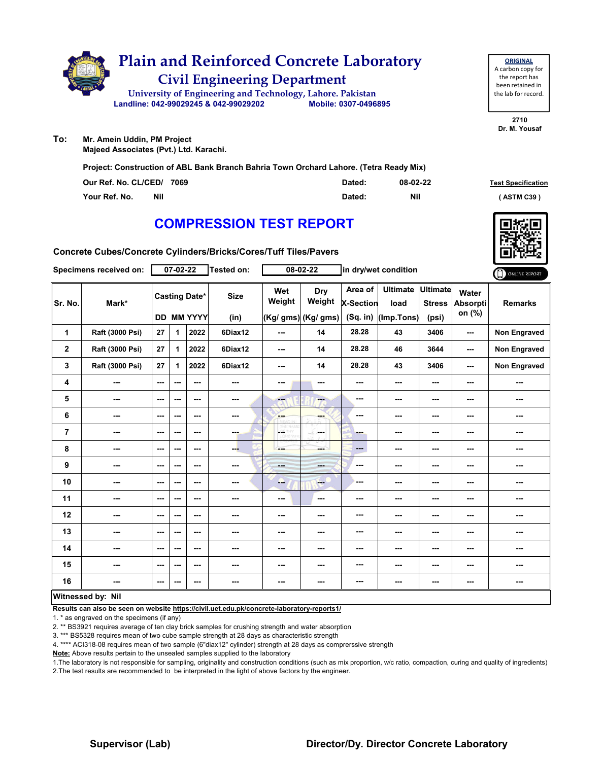

| <b>ORIGINAL</b>     |
|---------------------|
| A carbon copy for   |
| the report has      |
| been retained in    |
| the lab for record. |
|                     |

**To: Mr. Amein Uddin, PM Project Majeed Associates (Pvt.) Ltd. Karachi.**

**Project: Construction of ABL Bank Branch Bahria Town Orchard Lahore. (Tetra Ready Mix)**

| Our Ref. No. CL/CED/ 7069   | Dated: | 08-02-22 | <b>Test Specification</b> |
|-----------------------------|--------|----------|---------------------------|
| <b>Nil</b><br>Your Ref. No. | Dated: | Nil      | ASTM C39                  |

### **COMPRESSION TEST REPORT**

**Concrete Cubes/Concrete Cylinders/Bricks/Cores/Tuff Tiles/Pavers**

|                | Specimens received on:   |                        | 07-02-22 |                                    | <b>Tested on:</b>        |               | 08-02-22                                    |                             | in dry/wet condition                            |                                           |                                    | ONLINE REPORT       |
|----------------|--------------------------|------------------------|----------|------------------------------------|--------------------------|---------------|---------------------------------------------|-----------------------------|-------------------------------------------------|-------------------------------------------|------------------------------------|---------------------|
| Sr. No.        | Mark*                    |                        |          | <b>Casting Date*</b><br>DD MM YYYY | <b>Size</b><br>(in)      | Wet<br>Weight | <b>Dry</b><br>Weight<br>(Kg/ gms) (Kg/ gms) | Area of<br><b>X-Section</b> | <b>Ultimate</b><br>load<br>(Sq. in) (Imp. Tons) | <b>Ultimate</b><br><b>Stress</b><br>(psi) | Water<br><b>Absorpti</b><br>on (%) | <b>Remarks</b>      |
| 1              | Raft (3000 Psi)          | 27                     | 1        | 2022                               | 6Diax12                  | $--$          | 14                                          | 28.28                       | 43                                              | 3406                                      | ---                                | Non Engraved        |
| $\mathbf 2$    | Raft (3000 Psi)          | 27                     | 1        | 2022                               | 6Diax12                  | $--$          | 14                                          | 28.28                       | 46                                              | 3644                                      | ---                                | <b>Non Engraved</b> |
| 3              | Raft (3000 Psi)          | 27                     | 1.       | 2022                               | 6Diax12                  | $--$          | 14                                          | 28.28                       | 43                                              | 3406                                      | ---                                | Non Engraved        |
| 4              | ---                      | $\sim$ $\sim$          | ---      | $\sim$ $\sim$                      | ---                      | ---           | ---                                         | ---                         | ---                                             | ---                                       | ---                                |                     |
| 5              | $\qquad \qquad \cdots$   | $\sim$ $\sim$          | ---      | $\sim$ $\sim$                      | ---                      | ---           | <b>Fax</b>                                  | $\overline{\phantom{a}}$    | ---                                             | ---                                       | ---                                | ---                 |
| 6              | ---                      | $\qquad \qquad \cdots$ | ---      | $\sim$ $\sim$                      | ---                      | ---           |                                             | $\overline{\phantom{a}}$    | ---                                             | ---                                       | ---                                |                     |
| $\overline{7}$ | ---                      | $- - -$                | ---      | $- - -$                            | <b>COLL</b>              | part of       | and a                                       | <b>Barnet</b>               | ---                                             | ---                                       | ---                                | ---                 |
| 8              | ---                      | $\sim$ $\sim$          | ---      | $\sim$ $\sim$                      | ---                      |               | ---                                         | $\qquad \qquad \cdots$      | ---                                             | ---                                       | ---                                | ---                 |
| 9              | ---                      | $\sim$ $\sim$          | ---      | $\sim$ $\sim$                      | $\overline{\phantom{a}}$ | $- - -$       | ---                                         | $\overline{\phantom{a}}$    | ---                                             | ---                                       | ---                                | ---                 |
| 10             | $\overline{\phantom{a}}$ | $\sim$ $\sim$          | ---      | $\sim$ $\sim$                      | $\overline{\phantom{a}}$ | ---           | $\frac{1}{1-\frac{1}{2}}$                   | ---                         | ---                                             | ---                                       | ---                                | ---                 |
| 11             | ---                      | $\sim$ $\sim$          | ---      | $\sim$                             | ---                      | ---           | $\sim$                                      | ---                         | ---                                             | ---                                       | ---                                | ---                 |
| 12             | ---                      | $- - -$                | ---      | $\sim$ $\sim$                      | $\sim$ $\sim$            | ---           | ---                                         | $\overline{\phantom{a}}$    | ---                                             | ---                                       | ---                                | ---                 |
| 13             | ---                      | $- - -$                | ---      | $- - -$                            | ---                      | ---           | ---                                         | ---                         | ---                                             | ---                                       | ---                                | ---                 |
| 14             | $\overline{\phantom{a}}$ | $\sim$ $\sim$          | ---      | $\sim$ $\sim$                      | $\overline{\phantom{a}}$ | ---           | ---                                         | $\overline{\phantom{a}}$    | ---                                             | ---                                       | ---                                | ---                 |
| 15             | ---                      | $\sim$ $\sim$          | ---      | $\sim$ $\sim$                      | ---                      | ---           | ---                                         | ---                         | ---                                             | ---                                       | ---                                | ---                 |
| 16             | ---                      | $\sim$                 | ---      | $\sim$ $\sim$                      | ---                      | ---           | ---                                         | $\overline{\phantom{a}}$    | ---                                             | ---                                       | $\cdots$                           | ---                 |
|                | Witnessed by: Nil        |                        |          |                                    |                          |               |                                             |                             |                                                 |                                           |                                    |                     |

#### **Witnessed by: Nil**

**Results can also be seen on website https://civil.uet.edu.pk/concrete-laboratory-reports1/**

1. \* as engraved on the specimens (if any)

2. \*\* BS3921 requires average of ten clay brick samples for crushing strength and water absorption

3. \*\*\* BS5328 requires mean of two cube sample strength at 28 days as characteristic strength

4. \*\*\*\* ACI318-08 requires mean of two sample (6"diax12" cylinder) strength at 28 days as comprerssive strength

**Note:** Above results pertain to the unsealed samples supplied to the laboratory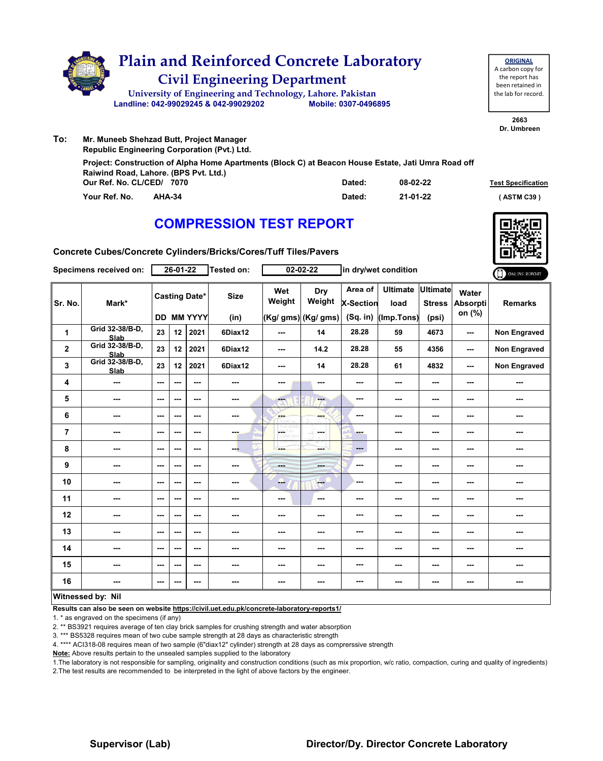

| <b>ORIGINAL</b>     |  |  |  |  |  |  |  |  |
|---------------------|--|--|--|--|--|--|--|--|
| A carbon copy for   |  |  |  |  |  |  |  |  |
| the report has      |  |  |  |  |  |  |  |  |
| been retained in    |  |  |  |  |  |  |  |  |
| the lab for record. |  |  |  |  |  |  |  |  |
|                     |  |  |  |  |  |  |  |  |

**2663 Dr. Umbreen**

**To: Mr. Muneeb Shehzad Butt, Project Manager Republic Engineering Corporation (Pvt.) Ltd.**

> **Our Ref. No. CL/CED/ Dated: Test Specification 7070 Your Ref. No. AHA-34 Dated: ( ASTM C39 ) Project: Construction of Alpha Home Apartments (Block C) at Beacon House Estate, Jati Umra Road off Raiwind Road, Lahore. (BPS Pvt. Ltd.) 08-02-22 21-01-22**

# **COMPRESSION TEST REPORT**



**Concrete Cubes/Concrete Cylinders/Bricks/Cores/Tuff Tiles/Pavers**

|                         | Specimens received on:         |                          | 26-01-22 |                                           | <b>Tested on:</b>   |                              | 02-02-22                              |                                         | in dry/wet condition                    |                          |                                    | ONLINE REPORT       |
|-------------------------|--------------------------------|--------------------------|----------|-------------------------------------------|---------------------|------------------------------|---------------------------------------|-----------------------------------------|-----------------------------------------|--------------------------|------------------------------------|---------------------|
| Sr. No.                 | Mark*                          |                          |          | <b>Casting Date*</b><br><b>DD MM YYYY</b> | <b>Size</b><br>(in) | Wet<br>Weight                | Dry<br>Weight<br>$(Kg/gms)$ (Kg/ gms) | Area of<br><b>X-Section</b><br>(Sq. in) | Ultimate Ultimate<br>load<br>(Imp.Tons) | <b>Stress</b><br>(psi)   | Water<br><b>Absorpti</b><br>on (%) | <b>Remarks</b>      |
| 1                       | Grid 32-38/B-D,<br><b>Slab</b> | 23                       | 12       | 2021                                      | 6Diax12             | $- - -$                      | 14                                    | 28.28                                   | 59                                      | 4673                     | ---                                | <b>Non Engraved</b> |
| $\overline{\mathbf{2}}$ | Grid 32-38/B-D,<br>Slab        | 23                       | 12       | 2021                                      | 6Diax12             | ---                          | 14.2                                  | 28.28                                   | 55                                      | 4356                     | $\sim$                             | <b>Non Engraved</b> |
| 3                       | Grid 32-38/B-D,<br>Slab        | 23                       | 12       | 2021                                      | 6Diax12             | ---                          | 14                                    | 28.28                                   | 61                                      | 4832                     | $\overline{\phantom{a}}$           | Non Engraved        |
| 4                       | $\overline{\phantom{a}}$       | $--$                     | ---      | ---                                       | ---                 | ---                          | ---                                   | ---                                     | ---                                     | $\overline{\phantom{a}}$ | ---                                | ---                 |
| 5                       | $\overline{\phantom{a}}$       | $\overline{\phantom{a}}$ | ---      | ---                                       | ---                 | ---                          | ---                                   | ---                                     | ---                                     | ---                      | ---                                |                     |
| 6                       | $\sim$ $\sim$                  | ---                      | ---      | $--$                                      | ---                 | <b>SHOP</b><br><b>ZEITAP</b> | ---                                   | ---                                     | $--$                                    | ---                      | ---                                | ---                 |
| 7                       | $\sim$ $\sim$                  | $\overline{\phantom{a}}$ | ---      | $--$                                      | man.                | <b>LOSTIVIY</b><br>CORD WY   | and a                                 | <b>STAR</b>                             | ---                                     | $\overline{\phantom{a}}$ | ---                                | ---                 |
| 8                       | ---                            | $-$                      | ---      | $- - -$                                   | ---                 | ---                          | ---                                   | ---                                     | ---                                     | $\sim$ $\sim$            | $\sim$ $\sim$                      | ---                 |
| 9                       | ---                            | ---                      | ---      | ---                                       | ---                 | <b>House</b>                 | ---                                   | ---                                     | ---                                     | ---                      | ---                                | ---                 |
| 10                      | $\overline{\phantom{a}}$       | $\overline{\phantom{a}}$ | ---      | $--$                                      | ---                 | --                           | $\sim$                                | ---                                     | $--$                                    | $\overline{\phantom{a}}$ | $\overline{\phantom{a}}$           | ---                 |
| 11                      | $\sim$                         | $--$                     | ---      | ---                                       | ---                 | ---                          | ---                                   | ---                                     | ---                                     | ---                      | ---                                | ---                 |
| 12                      | ---                            | $\overline{\phantom{a}}$ | ---      | $--$                                      | ---                 | ---                          | ---                                   | ---                                     | ---                                     | ---                      | ---                                | ---                 |
| 13                      | ---                            | ---                      | ---      | $--$                                      | ---                 | ---                          | ---                                   | ---                                     | ---                                     | $--$                     | ---                                | ---                 |
| 14                      | $\sim$                         | $\sim$                   | ---      | $--$                                      | $\sim$              | ---                          | ---                                   | ---                                     | ---                                     | $--$                     | ---                                |                     |
| 15                      | ---                            | $--$                     | ---      | ---                                       | ---                 | ---                          | ---                                   | ---                                     | ---                                     | ---                      | ---                                | ---                 |
| 16                      | ---                            | ---                      | ---      | ---                                       | ---                 | ---                          | ---                                   | ---                                     | ---                                     | ---                      | ---                                | ---                 |
|                         | Witnessed by: Nil              |                          |          |                                           |                     |                              |                                       |                                         |                                         |                          |                                    |                     |

#### **Witnessed by: Nil**

**Results can also be seen on website https://civil.uet.edu.pk/concrete-laboratory-reports1/**

1. \* as engraved on the specimens (if any)

2. \*\* BS3921 requires average of ten clay brick samples for crushing strength and water absorption

3. \*\*\* BS5328 requires mean of two cube sample strength at 28 days as characteristic strength

4. \*\*\*\* ACI318-08 requires mean of two sample (6"diax12" cylinder) strength at 28 days as comprerssive strength

**Note:** Above results pertain to the unsealed samples supplied to the laboratory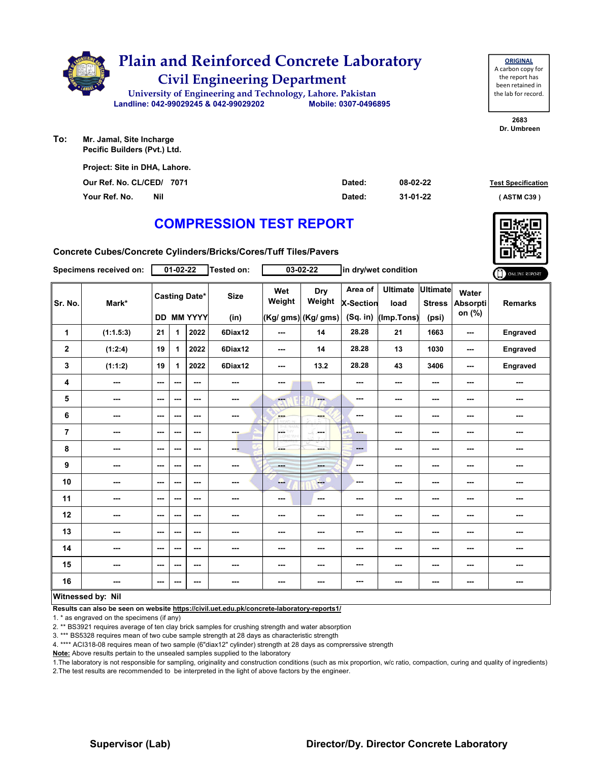

| <b>ORIGINAL</b>     |
|---------------------|
| A carbon copy for   |
| the report has      |
| been retained in    |
| the lab for record. |
|                     |

**2683 Dr. Umbreen**

**To: Mr. Jamal, Site Incharge Pecific Builders (Pvt.) Ltd.**

> **Our Ref. No. CL/CED/ Dated: Test Specification 7071 Your Ref. No. Nil Dated: ( ASTM C39 ) Project: Site in DHA, Lahore. 08-02-22 31-01-22**

# **COMPRESSION TEST REPORT**

**Concrete Cubes/Concrete Cylinders/Bricks/Cores/Tuff Tiles/Pavers**

|                | Specimens received on:   |               | $01 - 02 - 22$ |                                           | <b>Tested on:</b>        |                          | 03-02-22                              |                                           | in dry/wet condition                  |                                           |                             | ONLINE REPORT            |
|----------------|--------------------------|---------------|----------------|-------------------------------------------|--------------------------|--------------------------|---------------------------------------|-------------------------------------------|---------------------------------------|-------------------------------------------|-----------------------------|--------------------------|
| Sr. No.        | Mark*                    |               |                | <b>Casting Date*</b><br><b>DD MM YYYY</b> | <b>Size</b><br>(in)      | Wet<br>Weight            | Dry<br>Weight<br>$(Kg/gms)$ (Kg/ gms) | Area of<br><b>X-Section</b><br>$(Sq.$ in) | <b>Ultimate</b><br>load<br>(Imp.Tons) | <b>Ultimate</b><br><b>Stress</b><br>(psi) | Water<br>Absorpti<br>on (%) | <b>Remarks</b>           |
| 1              | (1:1.5:3)                | 21            | 1              | 2022                                      | 6Diax12                  | ---                      | 14                                    | 28.28                                     | 21                                    | 1663                                      | ---                         | Engraved                 |
| $\mathbf 2$    | (1:2:4)                  | 19            | 1              | 2022                                      | 6Diax12                  | ---                      | 14                                    | 28.28                                     | 13                                    | 1030                                      | ---                         | Engraved                 |
| 3              | (1:1:2)                  | 19            | 1              | 2022                                      | 6Diax12                  | $\overline{\phantom{a}}$ | 13.2                                  | 28.28                                     | 43                                    | 3406                                      | ---                         | Engraved                 |
| 4              | $\overline{\phantom{a}}$ | $\sim$ $\sim$ | ---            | ---                                       | $\sim$                   | ---                      | ---                                   | ---                                       | ---                                   | ---                                       | ---                         | ---                      |
| 5              | ---                      | $--$          | ---            | ---                                       | $\sim$                   | ---                      | ---                                   | ---                                       | ---                                   | $--$                                      | ---                         | ---                      |
| 6              | ---                      | ---           | ---            | $--$                                      | $\overline{\phantom{a}}$ | ---                      | ---                                   | ---                                       | ---                                   | ---                                       | ---                         | ---                      |
| $\overline{7}$ | ---                      | $\sim$ $\sim$ | ---            | $--$                                      | ---                      | $\overline{a}$           | in ma                                 | ---                                       | ---                                   | ---                                       | ---                         | ---                      |
| 8              | ---                      | $\sim$ $\sim$ | ---            | ---                                       | ---                      | ---                      | ---                                   | ---                                       | ---                                   | $--$                                      | ---                         | ---                      |
| 9              | ---                      | $\sim$ $\sim$ | ---            | ---                                       | $\cdots$                 | <b>Barbara</b>           | ---                                   | ---                                       | ---                                   | ---                                       | ---                         | ---                      |
| 10             | $\overline{\phantom{a}}$ | $\sim$ $\sim$ | ---            | $--$                                      | ---                      | --                       | <b>Fee</b>                            | ---                                       | ---                                   | $--$                                      | ---                         | $\overline{\phantom{a}}$ |
| 11             | ---                      | $--$          | ---            | ---                                       | $\overline{a}$           | ---                      | $\sim$                                | ---                                       | ---                                   | ---                                       | ---                         | ---                      |
| 12             | ---                      | $\sim$ $\sim$ | ---            | $- - -$                                   | $\sim$ $\sim$            | ---                      | ---                                   | ---                                       | ---                                   | ---                                       | ---                         | ---                      |
| 13             | ---                      | $\sim$ $\sim$ | ---            | $--$                                      | $\sim$                   | ---                      | ---                                   | ---                                       | ---                                   | ---                                       | ---                         | ---                      |
| 14             | ---                      | ---           | ---            | ---                                       | $\frac{1}{2}$            | ---                      | ---                                   | ---                                       | ---                                   | ---                                       | ---                         | ---                      |
| 15             | ---                      | ---           | ---            | $--$                                      | $\overline{\phantom{a}}$ | ---                      | ---                                   | ---                                       | ---                                   | ---                                       | ---                         | ---                      |
| 16             | $\sim$ $\sim$            | ---           | ---            | $--$                                      | $\sim$                   | ---                      | ---                                   | ---                                       | ---                                   | ---                                       | ---                         | ---                      |
|                | Witnessed by: Nil        |               |                |                                           |                          |                          |                                       |                                           |                                       |                                           |                             |                          |

**Results can also be seen on website https://civil.uet.edu.pk/concrete-laboratory-reports1/**

1. \* as engraved on the specimens (if any)

2. \*\* BS3921 requires average of ten clay brick samples for crushing strength and water absorption

3. \*\*\* BS5328 requires mean of two cube sample strength at 28 days as characteristic strength

4. \*\*\*\* ACI318-08 requires mean of two sample (6"diax12" cylinder) strength at 28 days as comprerssive strength

**Note:** Above results pertain to the unsealed samples supplied to the laboratory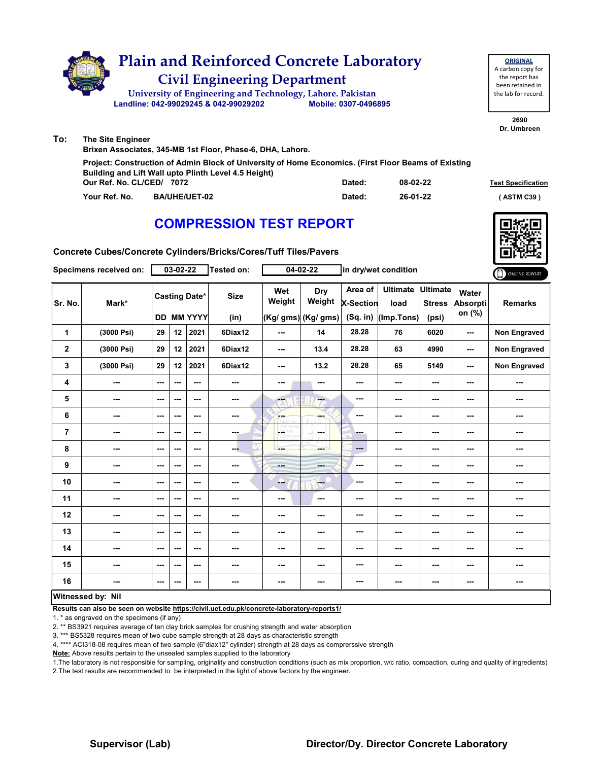

| Our Ref. No. CL/CED/ 7072 |                      | Dated: | 08-02-22 | <b>Test Specification</b> |
|---------------------------|----------------------|--------|----------|---------------------------|
| Your Ref. No.             | <b>BA/UHE/UET-02</b> | Dated: | 26-01-22 | (ASTM C39 <sup>)</sup>    |
|                           |                      |        |          |                           |

### **COMPRESSION TEST REPORT**



**Concrete Cubes/Concrete Cylinders/Bricks/Cores/Tuff Tiles/Pavers**

|                | Specimens received on:   |                          | $03 - 02 - 22$ |                                           | Tested on:          |                                 | $04 - 02 - 22$                        |                                  | in dry/wet condition                  |                                           |                                    | ONLINE REPORT       |
|----------------|--------------------------|--------------------------|----------------|-------------------------------------------|---------------------|---------------------------------|---------------------------------------|----------------------------------|---------------------------------------|-------------------------------------------|------------------------------------|---------------------|
| Sr. No.        | Mark*                    |                          |                | <b>Casting Date*</b><br><b>DD MM YYYY</b> | <b>Size</b><br>(in) | Wet<br>Weight                   | Dry<br>Weight<br>$(Kg/gms)$ (Kg/ gms) | Area of<br>X-Section<br>(Sq. in) | <b>Ultimate</b><br>load<br>(Imp.Tons) | <b>Ultimate</b><br><b>Stress</b><br>(psi) | Water<br><b>Absorpti</b><br>on (%) | <b>Remarks</b>      |
| 1              | (3000 Psi)               | 29                       | 12             | 2021                                      | 6Diax12             | ---                             | 14                                    | 28.28                            | 76                                    | 6020                                      | ---                                | <b>Non Engraved</b> |
| $\mathbf{2}$   | (3000 Psi)               | 29                       | 12             | 2021                                      | 6Diax12             | $\sim$ $\sim$                   | 13.4                                  | 28.28                            | 63                                    | 4990                                      | $\sim$ $\sim$                      | <b>Non Engraved</b> |
| 3              | (3000 Psi)               | 29                       | 12             | 2021                                      | 6Diax12             | $\sim$ $\sim$                   | 13.2                                  | 28.28                            | 65                                    | 5149                                      | $\sim$                             | Non Engraved        |
| 4              | ---                      | ---                      | ---            | ---                                       | ---                 | ---                             | ---                                   | ---                              | ---                                   | ---                                       | ---                                | $\sim$              |
| 5              | $\overline{\phantom{a}}$ | $\sim$                   | ---            | ---                                       | ---                 | $\overline{\mathbf{a}}$         | ---                                   | ---                              | ---                                   | ---                                       | ---                                | ---                 |
| 6              | $\overline{\phantom{a}}$ | $\overline{\phantom{a}}$ | ---            | ---                                       | ---                 | <b>Albert</b>                   | ---                                   | $\overline{\phantom{a}}$         | ---                                   | ---                                       | ---                                | ---                 |
| $\overline{7}$ | ---                      | $\overline{\phantom{a}}$ | ---            | $\overline{\phantom{a}}$                  | ---                 | $\overline{\phantom{a}}$<br>HY. | <b>Security</b>                       | -                                | $\overline{\phantom{a}}$              | ---                                       | ---                                | ---                 |
| 8              | $\sim$                   | $\sim$ $\sim$            | ---            | ---                                       | ---                 |                                 | ---                                   | $\qquad \qquad -$                | ---                                   | ---                                       | ---                                | ---                 |
| 9              | $\overline{\phantom{a}}$ | $\overline{\phantom{a}}$ | ---            | ---                                       | ---                 | <b>Hotel</b>                    | ---                                   | $\qquad \qquad \cdots$           | $\overline{\phantom{a}}$              | ---                                       | ---                                |                     |
| 10             | ---                      | $\sim$                   | ---            | ---                                       | ---                 | --                              | $-$                                   | ---                              | ---                                   | ---                                       | ---                                | ---                 |
| 11             | ---                      | $\sim$ $\sim$            | ---            | ---                                       | ---                 | $\sim$ $\sim$                   | $- - -$                               | ---                              | $\sim$ $\sim$                         | ---                                       | ---                                | ---                 |
| 12             | $\cdots$                 | $\sim$                   | ---            | ---                                       | ---                 | ---                             | ---                                   | ---                              | ---                                   | ---                                       | ---                                | ---                 |
| 13             | ---                      | $\overline{\phantom{a}}$ | ---            | ---                                       |                     | ---                             | ---                                   | ---                              | ---                                   | ---                                       | ---                                | ---                 |
| 14             | $\sim$                   | $-$                      | ---            | ---                                       | ---                 | $\sim$                          | ---                                   | $\overline{\phantom{a}}$         | $\sim$ $\sim$                         | ---                                       | ---                                | ---                 |
| 15             | ---                      | $\sim$                   | ---            | ---                                       | ---                 | ---                             | ---                                   | ---                              | ---                                   | ---                                       | ---                                | ---                 |
| 16             | ---                      | $\overline{\phantom{a}}$ | ---            | ---                                       |                     | ---                             | ---                                   | ---                              | ---                                   | ---                                       | ---                                |                     |
|                | Witnessed by: Nil        |                          |                |                                           |                     |                                 |                                       |                                  |                                       |                                           |                                    |                     |

#### **Witnessed by: Nil**

**Results can also be seen on website https://civil.uet.edu.pk/concrete-laboratory-reports1/**

1. \* as engraved on the specimens (if any)

2. \*\* BS3921 requires average of ten clay brick samples for crushing strength and water absorption

3. \*\*\* BS5328 requires mean of two cube sample strength at 28 days as characteristic strength

4. \*\*\*\* ACI318-08 requires mean of two sample (6"diax12" cylinder) strength at 28 days as comprerssive strength

**Note:** Above results pertain to the unsealed samples supplied to the laboratory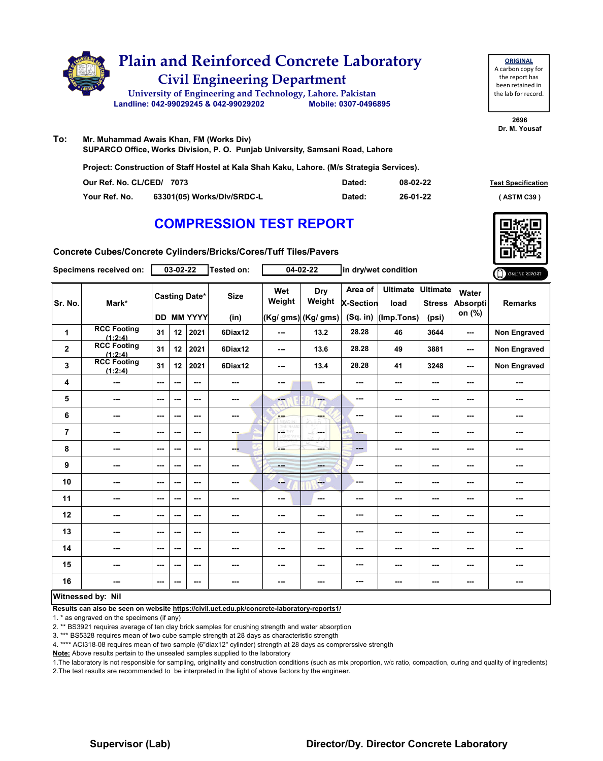

| <b>ORIGINAL</b>     |
|---------------------|
| A carbon copy for   |
| the report has      |
| been retained in    |
| the lab for record. |
|                     |

**To: Mr. Muhammad Awais Khan, FM (Works Div) SUPARCO Office, Works Division, P. O. Punjab University, Samsani Road, Lahore Project: Construction of Staff Hostel at Kala Shah Kaku, Lahore. (M/s Strategia Services).**

| Our Ref. No. CL/CED/ 7073 |                            | Dated: | 08-02-22 | <b>Test Specificati</b> |
|---------------------------|----------------------------|--------|----------|-------------------------|
| Your Ref. No.             | 63301(05) Works/Div/SRDC-L | Dated: | 26-01-22 | (ASTM C39)              |

# **COMPRESSION TEST REPORT**

**Test Specification** 

**Concrete Cubes/Concrete Cylinders/Bricks/Cores/Tuff Tiles/Pavers**

|                | Specimens received on:        |                          | 03-02-22 |                                    | Tested on:          |                          | 04-02-22                             |                                         | in dry/wet condition                    |                          |                                    | ONLINE REPORT       |
|----------------|-------------------------------|--------------------------|----------|------------------------------------|---------------------|--------------------------|--------------------------------------|-----------------------------------------|-----------------------------------------|--------------------------|------------------------------------|---------------------|
| Sr. No.        | Mark*                         |                          |          | <b>Casting Date*</b><br>DD MM YYYY | <b>Size</b><br>(in) | Wet<br>Weight            | Dry<br>Weight<br>(Kg/ gms) (Kg/ gms) | Area of<br><b>X-Section</b><br>(Sq. in) | Ultimate Ultimate<br>load<br>(Imp.Tons) | <b>Stress</b><br>(psi)   | Water<br><b>Absorpti</b><br>on (%) | <b>Remarks</b>      |
|                | <b>RCC Footing</b>            |                          |          |                                    |                     |                          |                                      |                                         |                                         |                          |                                    |                     |
| 1              | (1:2:4)                       | 31                       | 12       | 2021                               | 6Diax12             | $\sim$ $\sim$            | 13.2                                 | 28.28                                   | 46                                      | 3644                     | ---                                | <b>Non Engraved</b> |
| $\mathbf{2}$   | <b>RCC Footing</b><br>(1:2:4) | 31                       | 12       | 2021                               | 6Diax12             | ---                      | 13.6                                 | 28.28                                   | 49                                      | 3881                     | ---                                | <b>Non Engraved</b> |
| 3              | <b>RCC Footing</b><br>(1:2:4) | 31                       | 12       | 2021                               | 6Diax12             | ---                      | 13.4                                 | 28.28                                   | 41                                      | 3248                     | $\overline{\phantom{a}}$           | <b>Non Engraved</b> |
| 4              | ---                           | ---                      | ---      | ---                                | ---                 | ---                      | ---                                  | ---                                     | ---                                     | ---                      | ---                                | ---                 |
| 5              | ---                           | $\overline{\phantom{a}}$ | ---      | ---                                | ---                 | $-1$                     | ---                                  | ---                                     | ---                                     | ---                      | ---                                |                     |
| 6              | ---                           | ---                      | ---      | ---                                | ---                 | <b>SHOP</b>              | ---                                  | ---                                     | ---                                     | ---                      | ---                                |                     |
| $\overline{7}$ | ---                           | $\overline{\phantom{a}}$ | ---      | ---                                | ---                 | <b>CETHY</b><br>LORD WY  | <b>Service</b>                       | ---                                     | ---                                     | ---                      | ---                                | ---                 |
| 8              | ---                           | $-$                      | ---      | $- - -$                            | ---                 | ---                      | ---                                  | $---$                                   | ---                                     | $\sim$                   | ---                                | ---                 |
| 9              | ---                           | $\overline{\phantom{a}}$ | ---      | ---                                | ---                 | $- - -$                  | ---                                  | ---                                     | ---                                     | $\cdots$                 | ---                                | ---                 |
| 10             | ---                           | $\sim$ $\sim$            | ---      | ---                                | ---                 | -                        | $-$                                  | ---                                     | ---                                     | $\sim$                   | ---                                | ---                 |
| 11             | ---                           | $- - -$                  | ---      | ---                                | ---                 | ---                      | ---                                  | ---                                     | ---                                     | ---                      | ---                                | ---                 |
| 12             | ---                           | ---                      | ---      | ---                                | ---                 | ---                      | ---                                  | ---                                     | $\overline{\phantom{a}}$                | $--$                     | $\overline{\phantom{a}}$           | ---                 |
| 13             | ---                           | $- - -$                  | ---      | ---                                | ---                 | ---                      | ---                                  | ---                                     | ---                                     | ---                      | ---                                | ---                 |
| 14             | ---                           | $\sim$ $\sim$            | ---      | ---                                | ---                 | $\overline{\phantom{a}}$ | ---                                  | ---                                     | $\overline{\phantom{a}}$                | $\overline{\phantom{a}}$ | $\overline{\phantom{a}}$           | ---                 |
| 15             | ---                           | $\overline{\phantom{a}}$ | ---      | ---                                | ---                 | ---                      | ---                                  | ---                                     | ---                                     | ---                      | ---                                | ---                 |
| 16             | ---                           | ---                      | ---      | ---                                | ---                 | ---                      | ---                                  | ---                                     | ---                                     | ---                      | $\overline{a}$                     | ---                 |
|                | Witnessed by: Nil             |                          |          |                                    |                     |                          |                                      |                                         |                                         |                          |                                    |                     |

#### **Witnessed by: Nil**

**Results can also be seen on website https://civil.uet.edu.pk/concrete-laboratory-reports1/**

1. \* as engraved on the specimens (if any)

2. \*\* BS3921 requires average of ten clay brick samples for crushing strength and water absorption

3. \*\*\* BS5328 requires mean of two cube sample strength at 28 days as characteristic strength

4. \*\*\*\* ACI318-08 requires mean of two sample (6"diax12" cylinder) strength at 28 days as comprerssive strength

**Note:** Above results pertain to the unsealed samples supplied to the laboratory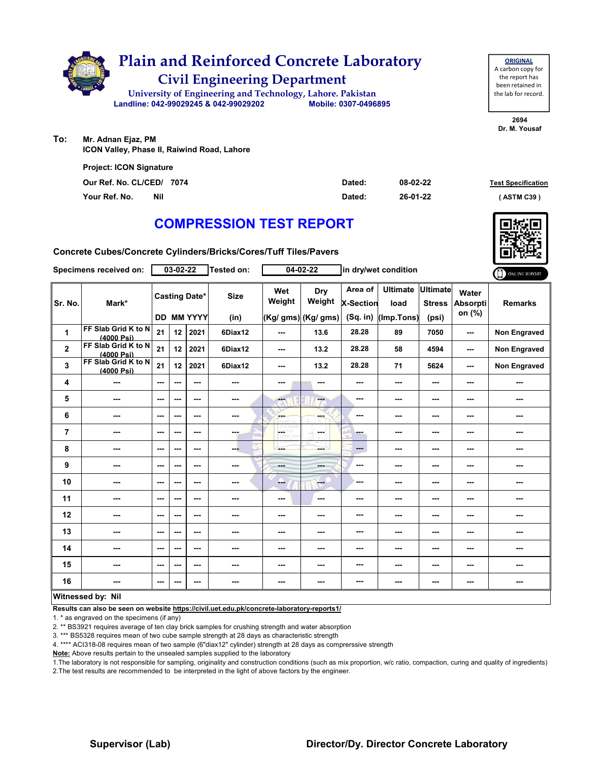

| <b>ORIGINAL</b>     |
|---------------------|
| A carbon copy for   |
| the report has      |
| been retained in    |
| the lab for record. |
|                     |

**To: Mr. Adnan Ejaz, PM ICON Valley, Phase II, Raiwind Road, Lahore**

| <b>Project: ICON Signature</b> |     |        |          |                           |
|--------------------------------|-----|--------|----------|---------------------------|
| Our Ref. No. CL/CED/ 7074      |     | Dated: | 08-02-22 | <b>Test Specification</b> |
| Your Ref. No.                  | Nil | Dated: | 26-01-22 | (ASTM C39)                |

# **COMPRESSION TEST REPORT**

**Concrete Cubes/Concrete Cylinders/Bricks/Cores/Tuff Tiles/Pavers**

|                | Specimens received on:            |                          | 03-02-22 |                                           | Tested on:               |                          | 04-02-22                              |                                    | in dry/wet condition                  |                                           |                             | ONLINE REPORT            |
|----------------|-----------------------------------|--------------------------|----------|-------------------------------------------|--------------------------|--------------------------|---------------------------------------|------------------------------------|---------------------------------------|-------------------------------------------|-----------------------------|--------------------------|
| Sr. No.        | Mark*                             |                          |          | <b>Casting Date*</b><br><b>DD MM YYYY</b> | <b>Size</b><br>(in)      | Wet<br>Weight            | Dry<br>Weight<br>$(Kg/gms)$ (Kg/ gms) | Area of<br>X-Section<br>$(Sq.$ in) | <b>Ultimate</b><br>load<br>(Imp.Tons) | <b>Ultimate</b><br><b>Stress</b><br>(psi) | Water<br>Absorpti<br>on (%) | <b>Remarks</b>           |
| $\mathbf{1}$   | FF Slab Grid K to N<br>(4000 Psi) | 21                       | 12       | 2021                                      | 6Diax12                  | ---                      | 13.6                                  | 28.28                              | 89                                    | 7050                                      | ---                         | <b>Non Engraved</b>      |
| $\mathbf 2$    | FF Slab Grid K to N<br>(4000 Psi) | 21                       | 12       | 2021                                      | 6Diax12                  | ---                      | 13.2                                  | 28.28                              | 58                                    | 4594                                      | ---                         | Non Engraved             |
| 3              | FF Slab Grid K to N<br>(4000 Psi) | 21                       | 12       | 2021                                      | 6Diax12                  | $\overline{\phantom{a}}$ | 13.2                                  | 28.28                              | 71                                    | 5624                                      | ---                         | Non Engraved             |
| 4              | ---                               | $--$                     | ---      | ---                                       | $\sim$                   | ---                      | ---                                   | ---                                | ---                                   | ---                                       | ---                         | ---                      |
| 5              | ---                               | ---                      | ---      | ---                                       | $\sim$                   | ---                      | $-$                                   | ---                                | ---                                   | ---                                       | ---                         | ---                      |
| 6              | ---                               | $--$                     | ---      | ---                                       | ---                      | ---                      | ---                                   | ---                                | ---                                   | ---                                       | ---                         | ---                      |
| $\overline{7}$ | ---                               | ---                      | ---      | $--$                                      | ---                      | $\overline{a}$           | ---                                   | ---                                | ---                                   | ---                                       | ---                         | ---                      |
| 8              | ---                               | ---                      | ---      | ---                                       | ---                      | ---                      | ---                                   | ---                                | ---                                   | ---                                       | ---                         | ---                      |
| 9              | ---                               | $\sim$ $\sim$            | ---      | ---                                       | ---                      | <b>Barbara</b>           | ---                                   | ---                                | ---                                   | ---                                       | ---                         | ---                      |
| 10             | ---                               | $--$                     | ---      | $--$                                      | ---                      | ---                      | $\qquad \qquad -$                     | ---                                | ---                                   | $--$                                      | ---                         | $\overline{\phantom{a}}$ |
| 11             | ---                               | ---                      | ---      | ---                                       | ---                      | ---                      | ---                                   | ---                                | ---                                   | ---                                       | ---                         | ---                      |
| 12             | ---                               | $- - -$                  | ---      | $- - -$                                   | ---                      | ---                      | ---                                   | ---                                | ---                                   | ---                                       | ---                         | ---                      |
| 13             | ---                               | ---                      | ---      | ---                                       | $\sim$                   | ---                      | ---                                   | ---                                | ---                                   | ---                                       | ---                         | ---                      |
| 14             | ---                               | ---                      | ---      | ---                                       | $\sim$                   | ---                      | ---                                   | ---                                | ---                                   | ---                                       | ---                         | ---                      |
| 15             | ---                               | $--$                     | ---      | ---                                       | $\overline{\phantom{a}}$ | ---                      | ---                                   | ---                                | ---                                   | ---                                       | ---                         | ---                      |
| 16             | ---                               | $\overline{\phantom{a}}$ | ---      | ---                                       | $\sim$                   | ---                      | ---                                   | ---                                | ---                                   | ---                                       | ---                         | ---                      |
|                | Witnessed by: Nil                 |                          |          |                                           |                          |                          |                                       |                                    |                                       |                                           |                             |                          |

**Results can also be seen on website https://civil.uet.edu.pk/concrete-laboratory-reports1/**

1. \* as engraved on the specimens (if any)

2. \*\* BS3921 requires average of ten clay brick samples for crushing strength and water absorption

3. \*\*\* BS5328 requires mean of two cube sample strength at 28 days as characteristic strength

4. \*\*\*\* ACI318-08 requires mean of two sample (6"diax12" cylinder) strength at 28 days as comprerssive strength

**Note:** Above results pertain to the unsealed samples supplied to the laboratory

1.The laboratory is not responsible for sampling, originality and construction conditions (such as mix proportion, w/c ratio, compaction, curing and quality of ingredients) 2.The test results are recommended to be interpreted in the light of above factors by the engineer.

### **Supervisor (Lab) Director/Dy. Director Concrete Laboratory**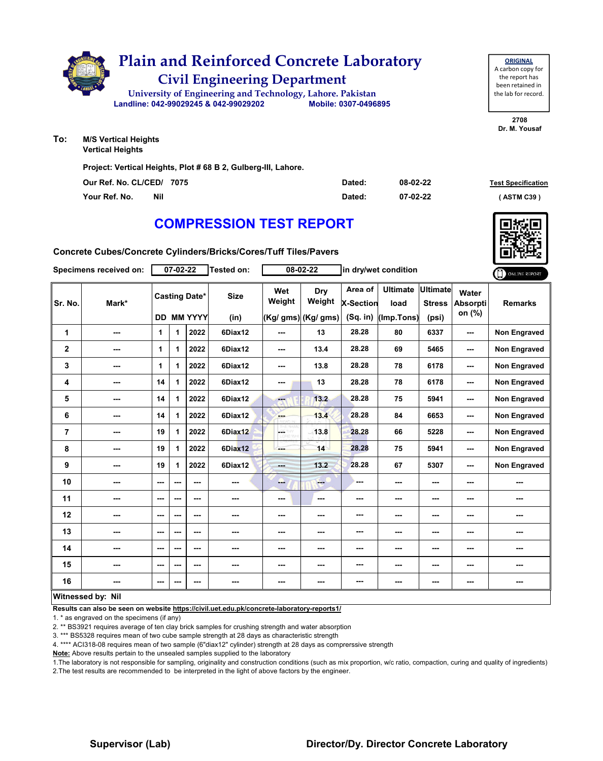

**Vertical Heights**

**Project: Vertical Heights, Plot # 68 B 2, Gulberg-III, Lahore.**

| Our Ref. No. CL/CED/ 7075 | Dated: | 08-02-22 | <b>Test Specification</b> |
|---------------------------|--------|----------|---------------------------|
| Your Ref. No.<br>Nil      | Dated: | 07-02-22 | (ASTM C39)                |

# **COMPRESSION TEST REPORT**

**Concrete Cubes/Concrete Cylinders/Bricks/Cores/Tuff Tiles/Pavers**

|                | Specimens received on: |                          | 07-02-22 |                                           | <b>Tested on:</b>   |               | 08-02-22                             |                                    | in dry/wet condition                  |                                    |                                    | ONLINE REPORT       |
|----------------|------------------------|--------------------------|----------|-------------------------------------------|---------------------|---------------|--------------------------------------|------------------------------------|---------------------------------------|------------------------------------|------------------------------------|---------------------|
| Sr. No.        | Mark*                  |                          |          | <b>Casting Date*</b><br><b>DD MM YYYY</b> | <b>Size</b><br>(in) | Wet<br>Weight | Dry<br>Weight<br>(Kg/ gms) (Kg/ gms) | Area of<br>X-Section<br>$(Sq.$ in) | <b>Ultimate</b><br>load<br>(Imp.Tons) | Ultimate<br><b>Stress</b><br>(psi) | Water<br><b>Absorpti</b><br>on (%) | <b>Remarks</b>      |
| 1              | ---                    | 1                        | 1        | 2022                                      | 6Diax12             | ---           | 13                                   | 28.28                              | 80                                    | 6337                               | ---                                | Non Engraved        |
| $\mathbf{2}$   | ---                    | 1                        | 1        | 2022                                      | 6Diax12             | ---           | 13.4                                 | 28.28                              | 69                                    | 5465                               | ---                                | <b>Non Engraved</b> |
| 3              | ---                    | 1                        | 1        | 2022                                      | 6Diax12             | ---           | 13.8                                 | 28.28                              | 78                                    | 6178                               | ---                                | <b>Non Engraved</b> |
| 4              | ---                    | 14                       | 1        | 2022                                      | 6Diax12             | ---           | 13                                   | 28.28                              | 78                                    | 6178                               | ---                                | <b>Non Engraved</b> |
| 5              | ---                    | 14                       | 1        | 2022                                      | 6Diax12             | ---           | 13.2                                 | 28.28                              | 75                                    | 5941                               | ---                                | <b>Non Engraved</b> |
| 6              | ---                    | 14                       | 1        | 2022                                      | 6Diax12             | <b>Bar</b>    | 13.4                                 | 28.28                              | 84                                    | 6653                               | ---                                | Non Engraved        |
| $\overline{7}$ | ---                    | 19                       | 1        | 2022                                      | 6Diax12             | р.            | 13.8                                 | 28.28                              | 66                                    | 5228                               | ---                                | <b>Non Engraved</b> |
| 8              | ---                    | 19                       | 1        | 2022                                      | 6Diax12             | ---           | 14                                   | 28.28                              | 75                                    | 5941                               | ---                                | <b>Non Engraved</b> |
| 9              | ---                    | 19                       | 1        | 2022                                      | 6Diax12             | <b>Hotel</b>  | 13.2                                 | 28.28                              | 67                                    | 5307                               | ---                                | <b>Non Engraved</b> |
| 10             | ---                    | $\overline{\phantom{a}}$ | ---      | ---                                       | ---                 | ---           | $-1$                                 | ---                                | ---                                   | ---                                | ---                                |                     |
| 11             | ---                    | ---                      | ---      | ---                                       | ---                 | ---           | $\sim$                               | ---                                | ---                                   | ---                                | ---                                | ---                 |
| 12             | ---                    | $-$                      | ---      | ---                                       | ---                 | ---           | ---                                  | ---                                | ---                                   | ---                                | ---                                | ---                 |
| 13             | ---                    | $\sim$ $\sim$            | ---      | ---                                       | ---                 | ---           | ---                                  | ---                                | ---                                   | ---                                | ---                                | ---                 |
| 14             | ---                    | $--$                     | ---      | ---                                       | ---                 | ---           | ---                                  | ---                                | ---                                   | ---                                | ---                                | ---                 |
| 15             | ---                    | $\overline{\phantom{a}}$ | ---      | ---                                       | ---                 | ---           | ---                                  | ---                                | ---                                   | ---                                | ---                                |                     |
| 16             | ---                    | $--$                     | ---      | ---                                       | ---                 | ---           | ---                                  | ---                                | ---                                   | ---                                | ---                                | ---                 |
|                | Witnessed by: Nil      |                          |          |                                           |                     |               |                                      |                                    |                                       |                                    |                                    |                     |

#### **Witnessed by: Nil**

**Results can also be seen on website https://civil.uet.edu.pk/concrete-laboratory-reports1/**

1. \* as engraved on the specimens (if any)

2. \*\* BS3921 requires average of ten clay brick samples for crushing strength and water absorption

3. \*\*\* BS5328 requires mean of two cube sample strength at 28 days as characteristic strength

4. \*\*\*\* ACI318-08 requires mean of two sample (6"diax12" cylinder) strength at 28 days as comprerssive strength

**Note:** Above results pertain to the unsealed samples supplied to the laboratory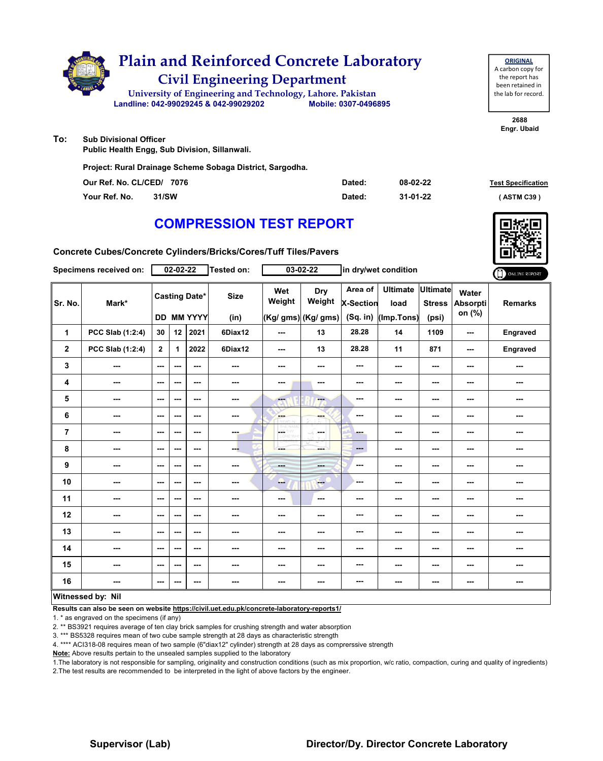

| <b>ORIGINAL</b>     |
|---------------------|
| A carbon copy for   |
| the report has      |
| been retained in    |
| the lab for record. |
|                     |

**2688 Engr. Ubaid**

**To: Sub Divisional Officer**

**Public Health Engg, Sub Division, Sillanwali.**

**Project: Rural Drainage Scheme Sobaga District, Sargodha.**

| Our Ref. No. CL/CED/ 7076 | Dated: | 08-02-22 | <b>Test Specification</b> |
|---------------------------|--------|----------|---------------------------|
| 31/SW<br>Your Ref. No.    | Dated: | 31-01-22 | ASTM C39 '                |

### **COMPRESSION TEST REPORT**

**Concrete Cubes/Concrete Cylinders/Bricks/Cores/Tuff Tiles/Pavers**

|                         | Specimens received on:   |                          | 02-02-22 |                                    | <b>Tested on:</b>   |                          | $03 - 02 - 22$                              |                                    | in dry/wet condition                  |                                           |                                    | ONLINE REPORT  |
|-------------------------|--------------------------|--------------------------|----------|------------------------------------|---------------------|--------------------------|---------------------------------------------|------------------------------------|---------------------------------------|-------------------------------------------|------------------------------------|----------------|
| Sr. No.                 | Mark*                    |                          |          | <b>Casting Date*</b><br>DD MM YYYY | <b>Size</b><br>(in) | Wet<br>Weight            | <b>Dry</b><br>Weight<br>(Kg/ gms) (Kg/ gms) | Area of<br>X-Section<br>$(Sq.$ in) | <b>Ultimate</b><br>load<br>(Imp.Tons) | <b>Ultimate</b><br><b>Stress</b><br>(psi) | Water<br><b>Absorpti</b><br>on (%) | <b>Remarks</b> |
| 1                       | PCC Slab (1:2:4)         | 30                       | 12       | 2021                               | 6Diax12             | ---                      | 13                                          | 28.28                              | 14                                    | 1109                                      | ---                                | Engraved       |
| $\overline{\mathbf{2}}$ | PCC Slab (1:2:4)         | $\overline{2}$           | 1        | 2022                               | 6Diax12             | ---                      | 13                                          | 28.28                              | 11                                    | 871                                       | ---                                | Engraved       |
| 3                       | ---                      | $\sim$ $\sim$            | ---      | $-$                                | $\sim$ $\sim$       | ---                      | ---                                         | ---                                | ---                                   | ---                                       | ---                                | ---            |
| 4                       | ---                      | ---                      | ---      | $\overline{\phantom{a}}$           | ---                 | ---                      | ---                                         | ---                                | ---                                   | $--$                                      | ---                                | ---            |
| 5                       | ---                      | ---                      | ---      | ---                                | ---                 | ---                      | $\overline{\phantom{a}}$                    | ---                                | ---                                   | ---                                       | ---                                | ---            |
| 6                       | ---                      | ---                      | ---      | ---                                | ---                 | ---                      | ---                                         | ---                                | ---                                   | $--$                                      | ---                                | ---            |
| $\overline{7}$          | ---                      | ---                      | ---      | ---                                | ---                 | LGS.<br><b>LORD WHI</b>  | $\rightarrow \widetilde{V}$<br><b>Base</b>  | ---                                | ---                                   | ---                                       | ---                                | ---            |
| 8                       | ---                      | $\overline{\phantom{a}}$ | ---      | $\overline{\phantom{a}}$           | ---                 | ---                      | ---                                         | ---                                | ---                                   | ---                                       | ---                                | ---            |
| 9                       | ---                      | $-$                      | ---      | ---                                | ---                 | <b>Barbara</b>           | ---                                         | ---                                | ---                                   | $--$                                      | ---                                | ---            |
| 10                      | ---                      | $-$                      | ---      | $\sim$ $\sim$                      | ---                 | ---                      | $-1$                                        | ---                                | ---                                   | ---                                       | ---                                | ---            |
| 11                      | ---                      | $\sim$ $\sim$            | ---      | ---                                | ---                 | $\overline{\phantom{a}}$ | $\sim$                                      | ---                                | ---                                   | $--$                                      | ---                                | ---            |
| 12                      | ---                      | ---                      | ---      | ---                                | ---                 | ---                      |                                             | ---                                | ---                                   | ---                                       | ---                                | ---            |
| 13                      | ---                      | ---                      | ---      | ---                                | ---                 | ---                      | ---                                         | ---                                | ---                                   | ---                                       | ---                                | ---            |
| 14                      | ---                      | ---                      | ---      | ---                                | ---                 | ---                      | ---                                         | ---                                | ---                                   | $--$                                      | ---                                | ---            |
| 15                      | ---                      | ---                      | ---      | $\overline{\phantom{a}}$           | ---                 | ---                      | ---                                         | ---                                | ---                                   | ---                                       | ---                                | ---            |
| 16                      | ---                      | $\overline{\phantom{a}}$ | ---      | ---                                | $\sim$              | ---                      | ---                                         | ---                                | ---                                   | $\overline{\phantom{a}}$                  | ---                                | ---            |
|                         | <b>Witnessed by: Nil</b> |                          |          |                                    |                     |                          |                                             |                                    |                                       |                                           |                                    |                |

#### **Witnessed by: Nil**

**Results can also be seen on website https://civil.uet.edu.pk/concrete-laboratory-reports1/**

1. \* as engraved on the specimens (if any)

2. \*\* BS3921 requires average of ten clay brick samples for crushing strength and water absorption

3. \*\*\* BS5328 requires mean of two cube sample strength at 28 days as characteristic strength

4. \*\*\*\* ACI318-08 requires mean of two sample (6"diax12" cylinder) strength at 28 days as comprerssive strength

**Note:** Above results pertain to the unsealed samples supplied to the laboratory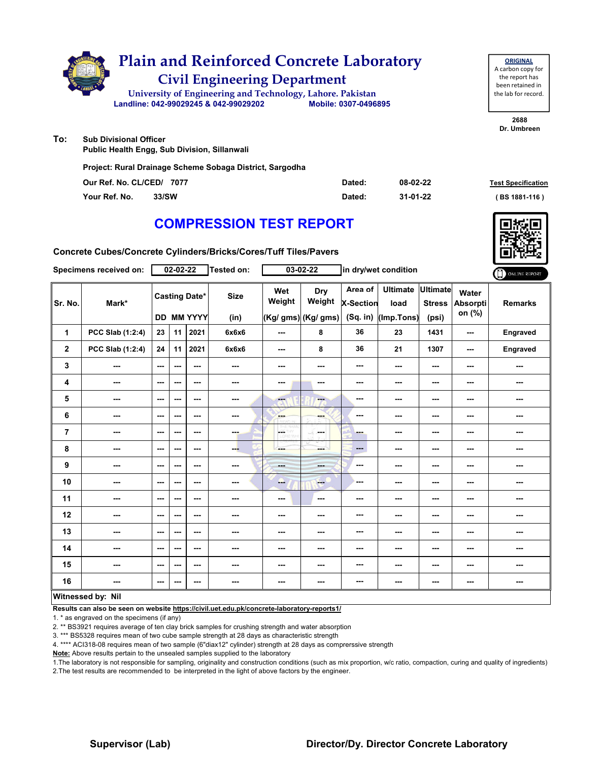|     | <b>Plain and Reinforced Concrete Laboratory</b><br><b>Civil Engineering Department</b>              |                      |  |
|-----|-----------------------------------------------------------------------------------------------------|----------------------|--|
|     | University of Engineering and Technology, Lahore. Pakistan<br>Landline: 042-99029245 & 042-99029202 | Mobile: 0307-0496895 |  |
| To: | <b>Sub Divisional Officer</b>                                                                       |                      |  |

**Public Health Engg, Sub Division, Sillanwali**

**Project: Rural Drainage Scheme Sobaga District, Sargodha**

| Our Ref. No. CL/CED/ 7077 |       | Dated: | 08-02-22 | <b>Test Specification</b> |
|---------------------------|-------|--------|----------|---------------------------|
| Your Ref. No.             | 33/SW | Dated: | 31-01-22 | $(BS 1881 - 116)$         |

### **COMPRESSION TEST REPORT**

**Concrete Cubes/Concrete Cylinders/Bricks/Cores/Tuff Tiles/Pavers**

|                         | Specimens received on: |                          | $02 - 02 - 22$ |                                    | Tested on:               |                          | $03 - 02 - 22$                       |                                         | in dry/wet condition                  |                                           |                                    | ONLINE REPORT  |
|-------------------------|------------------------|--------------------------|----------------|------------------------------------|--------------------------|--------------------------|--------------------------------------|-----------------------------------------|---------------------------------------|-------------------------------------------|------------------------------------|----------------|
| Sr. No.                 | Mark*                  |                          |                | <b>Casting Date*</b><br>DD MM YYYY | <b>Size</b><br>(in)      | Wet<br>Weight            | Dry<br>Weight<br>(Kg/ gms) (Kg/ gms) | Area of<br><b>X-Section</b><br>(Sq. in) | <b>Ultimate</b><br>load<br>(Imp.Tons) | <b>Ultimate</b><br><b>Stress</b><br>(psi) | Water<br><b>Absorpti</b><br>on (%) | <b>Remarks</b> |
| 1                       | PCC Slab (1:2:4)       | 23                       | 11             | 2021                               | 6x6x6                    | ---                      | 8                                    | 36                                      | 23                                    | 1431                                      | ---                                | Engraved       |
| $\overline{\mathbf{2}}$ | PCC Slab (1:2:4)       | 24                       | 11             | 2021                               | 6x6x6                    | $\sim$ $\sim$            | 8                                    | 36                                      | 21                                    | 1307                                      | ---                                | Engraved       |
| 3                       | ---                    | $\sim$ $\sim$            | ---            | $--$                               | $\overline{\phantom{a}}$ | ---                      | ---                                  | ---                                     | ---                                   | $--$                                      | ---                                | ---            |
| 4                       | ---                    | $\overline{\phantom{a}}$ | ---            | ---                                | $\overline{a}$           | ---                      | ---                                  | ---                                     | ---                                   | ---                                       | ---                                | ---            |
| 5                       | ---                    | $\sim$                   | ---            | ---                                | ---                      | ---                      | ---                                  | ---                                     | ---                                   | ---                                       | ---                                | ---            |
| 6                       | ---                    | $-$                      | ---            | ---                                | ---                      | <b>Albert</b>            | ---                                  | ---                                     | ---                                   | ---                                       | ---                                | ---            |
| $\overline{7}$          | ---                    | $\overline{\phantom{a}}$ | ---            | ---                                | ---                      | CETHY<br>CORD WH         | ---                                  | - -                                     | ---                                   | ---                                       | ---                                | ---            |
| 8                       | ---                    | $\sim$ $\sim$            | ---            | ---                                | ---                      | ---                      | mente del                            | $\overline{a}$                          | ---                                   | ---                                       | ---                                | ---            |
| $\boldsymbol{9}$        | ---                    | $\overline{\phantom{a}}$ | ---            | ---                                | $\sim$                   | $- - -$                  | ---                                  | ---                                     | ---                                   | ---                                       | ---                                | ---            |
| 10                      | ---                    | $\sim$ $\sim$            | ---            | ---                                | ---                      | ---                      | <b>Page</b>                          | ---                                     | ---                                   | ---                                       | ---                                | ---            |
| 11                      | ---                    | $\sim$ $\sim$            | ---            | ---                                | $\cdots$                 | $\overline{\phantom{a}}$ | ---                                  | ---                                     | ---                                   | $--$                                      | ---                                | ---            |
| 12                      | ---                    | $\sim$                   | ---            | ---                                | $\overline{a}$           | ---                      | ---                                  | ---                                     | ---                                   | ---                                       | ---                                | ---            |
| 13                      | ---                    | $\sim$                   | ---            | ---                                | ---                      | ---                      | ---                                  | ---                                     | ---                                   | ---                                       | ---                                | ---            |
| 14                      | ---                    | $\sim$                   | ---            | ---                                | ---                      | ---                      | ---                                  | ---                                     | ---                                   | ---                                       | ---                                | ---            |
| 15                      | ---                    | $\sim$ $\sim$            | ---            | ---                                | ---                      | ---                      | ---                                  | ---                                     | ---                                   | ---                                       | ---                                | ---            |
| 16                      | ---                    | $\sim$ $\sim$            | ---            | $--$                               | ---                      | ---                      | ---                                  | ---                                     | ---                                   | $--$                                      | ---                                | ---            |
|                         | Witnessed by: Nil      |                          |                |                                    |                          |                          |                                      |                                         |                                       |                                           |                                    |                |

#### **Witnessed by: Nil**

**Results can also be seen on website https://civil.uet.edu.pk/concrete-laboratory-reports1/**

1. \* as engraved on the specimens (if any)

2. \*\* BS3921 requires average of ten clay brick samples for crushing strength and water absorption

3. \*\*\* BS5328 requires mean of two cube sample strength at 28 days as characteristic strength

4. \*\*\*\* ACI318-08 requires mean of two sample (6"diax12" cylinder) strength at 28 days as comprerssive strength

**Note:** Above results pertain to the unsealed samples supplied to the laboratory

1.The laboratory is not responsible for sampling, originality and construction conditions (such as mix proportion, w/c ratio, compaction, curing and quality of ingredients) 2.The test results are recommended to be interpreted in the light of above factors by the engineer.

**2688 Dr. Umbreen**



#### **Supervisor (Lab) Director/Dy. Director Concrete Laboratory**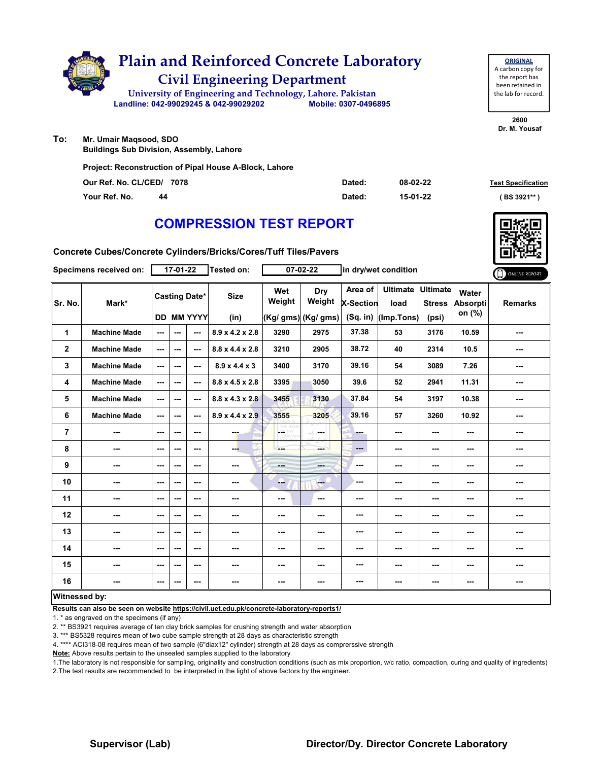

| <b>ORIGINAL</b>     |
|---------------------|
| A carbon copy for   |
| the report has      |
| been retained in    |
| the lab for record. |
|                     |

**To: Mr. Umair Maqsood, SDO**

**Buildings Sub Division, Assembly, Lahore**

**Project: Reconstruction of Pipal House A-Block, Lahore**

| Our Ref. No. CL/CED/ 7078 | Dated: | 08-02-22 | <b>Test Specification</b> |
|---------------------------|--------|----------|---------------------------|
| Your Ref. No.<br>44       | Dated: | 15-01-22 | (BS 3921**                |

# **COMPRESSION TEST REPORT**

**Concrete Cubes/Concrete Cylinders/Bricks/Cores/Tuff Tiles/Pavers**

| Specimens received on: |                     |                                           | 17-01-22 |         | Tested on:                  | 07-02-22      |                                                                                                                                                                                                                                                                                                                                                                                                                       | in dry/wet condition                    |                                       |                                           |                                    | ONLINE REPORT  |
|------------------------|---------------------|-------------------------------------------|----------|---------|-----------------------------|---------------|-----------------------------------------------------------------------------------------------------------------------------------------------------------------------------------------------------------------------------------------------------------------------------------------------------------------------------------------------------------------------------------------------------------------------|-----------------------------------------|---------------------------------------|-------------------------------------------|------------------------------------|----------------|
| Sr. No.                | Mark*               | <b>Casting Date*</b><br><b>DD MM YYYY</b> |          |         | <b>Size</b><br>(in)         | Wet<br>Weight | Dry<br>Weight<br>(Kg/ gms) (Kg/ gms)                                                                                                                                                                                                                                                                                                                                                                                  | Area of<br><b>X-Section</b><br>(Sq. in) | <b>Ultimate</b><br>load<br>(Imp.Tons) | <b>Ultimate</b><br><b>Stress</b><br>(psi) | Water<br><b>Absorpti</b><br>on (%) | <b>Remarks</b> |
| 1                      | <b>Machine Made</b> | ---                                       | ---      | ---     | $8.9 \times 4.2 \times 2.8$ | 3290          | 2975                                                                                                                                                                                                                                                                                                                                                                                                                  | 37.38                                   | 53                                    | 3176                                      | 10.59                              | ---            |
| $\overline{2}$         | <b>Machine Made</b> | ---                                       | ---      | ---     | $8.8 \times 4.4 \times 2.8$ | 3210          | 2905                                                                                                                                                                                                                                                                                                                                                                                                                  | 38.72                                   | 40                                    | 2314                                      | 10.5                               | ---            |
| 3                      | <b>Machine Made</b> | ---                                       | ---      | ---     | $8.9 \times 4.4 \times 3$   | 3400          | 3170                                                                                                                                                                                                                                                                                                                                                                                                                  | 39.16                                   | 54                                    | 3089                                      | 7.26                               | ---            |
| 4                      | <b>Machine Made</b> | ---                                       | ---      | $--$    | $8.8 \times 4.5 \times 2.8$ | 3395          | 3050                                                                                                                                                                                                                                                                                                                                                                                                                  | 39.6                                    | 52                                    | 2941                                      | 11.31                              | ---            |
| 5                      | <b>Machine Made</b> | ---                                       | ---      | $--$    | $8.8 \times 4.3 \times 2.8$ | 3455          | 3130                                                                                                                                                                                                                                                                                                                                                                                                                  | 37.84                                   | 54                                    | 3197                                      | 10.38                              | ---            |
| 6                      | <b>Machine Made</b> | ---                                       | ---      | ---     | $8.9 \times 4.4 \times 2.9$ | 3555          | 3205                                                                                                                                                                                                                                                                                                                                                                                                                  | 39.16                                   | 57                                    | 3260                                      | 10.92                              | ---            |
| $\overline{7}$         | ---                 | ---                                       | ---      | $- - -$ | ---                         | LGET          | in ma                                                                                                                                                                                                                                                                                                                                                                                                                 | ---                                     | ---                                   | ---                                       | ---                                | ---            |
| 8                      | ---                 | ---                                       | ---      | $--$    | --                          | ---           | ---                                                                                                                                                                                                                                                                                                                                                                                                                   | $\qquad \qquad \cdots$                  | ---                                   | ---                                       | ---                                | ---            |
| 9                      | ---                 | ---                                       | ---      | ---     | ---                         | $-$           | ---                                                                                                                                                                                                                                                                                                                                                                                                                   | ---                                     | ---                                   | $--$                                      | ---                                | ---            |
| 10                     | ---                 | ---                                       | ---      | ---     | ---                         | --            | $\frac{1}{1-\frac{1}{1-\frac{1}{1-\frac{1}{1-\frac{1}{1-\frac{1}{1-\frac{1}{1-\frac{1}{1-\frac{1}{1-\frac{1}{1-\frac{1}{1-\frac{1}{1-\frac{1}{1-\frac{1}{1-\frac{1}{1-\frac{1}{1-\frac{1}{1-\frac{1}{1-\frac{1}{1-\frac{1}{1-\frac{1}{1-\frac{1}{1-\frac{1}{1-\frac{1}{1-\frac{1}{1-\frac{1}{1-\frac{1}{1-\frac{1}{1-\frac{1}{1-\frac{1}{1-\frac{1}{1-\frac{1}{1-\frac{1}{1-\frac{1}{1-\frac{1}{1-\frac{1}{1-\frac{1$ | ---                                     | ---                                   | ---                                       | ---                                | ---            |
| 11                     | ---                 | ---                                       | ---      | ---     | ---                         | ---           | $\sim$                                                                                                                                                                                                                                                                                                                                                                                                                | ---                                     | ---                                   | ---                                       | ---                                | ---            |
| 12                     | ---                 | ---                                       | ---      | ---     | ---                         | ---           | ---                                                                                                                                                                                                                                                                                                                                                                                                                   | ---                                     | ---                                   | ---                                       | ---                                | ---            |
| 13                     |                     | ---                                       | ---      | ---     | ---                         | ---           | ---                                                                                                                                                                                                                                                                                                                                                                                                                   | ---                                     | ---                                   | ---                                       | ---                                |                |
| 14                     | ---                 | $- - -$                                   | ---      | $- - -$ | ---                         | ---           | ---                                                                                                                                                                                                                                                                                                                                                                                                                   | ---                                     | ---                                   | $--$                                      | ---                                | ---            |
| 15                     | ---                 | ---                                       | ---      | ---     | ---                         | ---           | ---                                                                                                                                                                                                                                                                                                                                                                                                                   | ---                                     | ---                                   | ---                                       | ---                                | ---            |
| 16                     | ---                 | $--$                                      | ---      | $--$    | $\overline{\phantom{a}}$    | ---           | ---                                                                                                                                                                                                                                                                                                                                                                                                                   | ---                                     | ---                                   | ---                                       | ---                                | ---            |
| <b>Witnessed by:</b>   |                     |                                           |          |         |                             |               |                                                                                                                                                                                                                                                                                                                                                                                                                       |                                         |                                       |                                           |                                    |                |

#### **Witnessed by:**

**Results can also be seen on website https://civil.uet.edu.pk/concrete-laboratory-reports1/**

1. \* as engraved on the specimens (if any)

2. \*\* BS3921 requires average of ten clay brick samples for crushing strength and water absorption

3. \*\*\* BS5328 requires mean of two cube sample strength at 28 days as characteristic strength

4. \*\*\*\* ACI318-08 requires mean of two sample (6"diax12" cylinder) strength at 28 days as comprerssive strength

**Note:** Above results pertain to the unsealed samples supplied to the laboratory